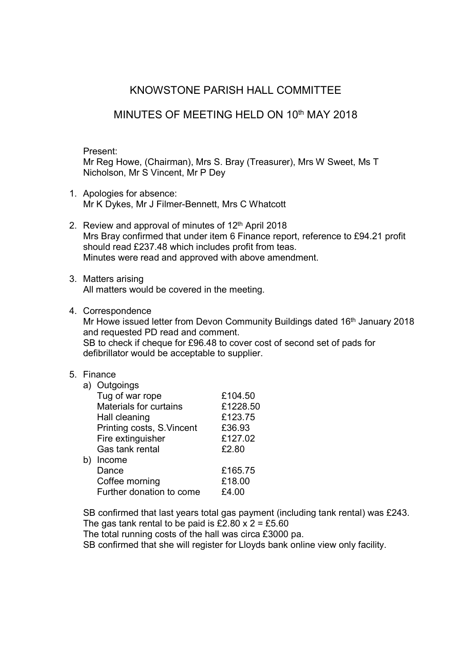# KNOWSTONE PARISH HALL COMMITTEE

# MINUTES OF MEETING HELD ON 10<sup>th</sup> MAY 2018

Present:

Mr Reg Howe, (Chairman), Mrs S. Bray (Treasurer), Mrs W Sweet, Ms T Nicholson, Mr S Vincent, Mr P Dey

- 1. Apologies for absence: Mr K Dykes, Mr J Filmer-Bennett, Mrs C Whatcott
- 2. Review and approval of minutes of 12<sup>th</sup> April 2018 Mrs Bray confirmed that under item 6 Finance report, reference to £94.21 profit should read £237.48 which includes profit from teas. Minutes were read and approved with above amendment.
- 3. Matters arising All matters would be covered in the meeting.
- 4. Correspondence

Mr Howe issued letter from Devon Community Buildings dated 16<sup>th</sup> January 2018 and requested PD read and comment. SB to check if cheque for £96.48 to cover cost of second set of pads for defibrillator would be acceptable to supplier.

### 5. Finance

| a) | Outgoings                 |          |
|----|---------------------------|----------|
|    | Tug of war rope           | £104.50  |
|    | Materials for curtains    | £1228.50 |
|    | Hall cleaning             | £123.75  |
|    | Printing costs, S.Vincent | £36.93   |
|    | Fire extinguisher         | £127.02  |
|    | Gas tank rental           | £2.80    |
| b) | Income                    |          |
|    | Dance                     | £165.75  |
|    | Coffee morning            | £18.00   |
|    | Further donation to come  | £4.00    |
|    |                           |          |

SB confirmed that last years total gas payment (including tank rental) was £243. The gas tank rental to be paid is £2.80  $\times$  2 = £5.60

The total running costs of the hall was circa £3000 pa.

SB confirmed that she will register for Lloyds bank online view only facility.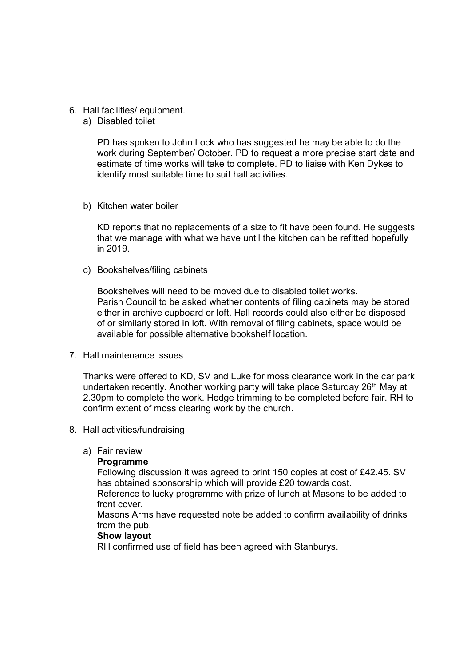### 6. Hall facilities/ equipment.

a) Disabled toilet

PD has spoken to John Lock who has suggested he may be able to do the work during September/ October. PD to request a more precise start date and estimate of time works will take to complete. PD to liaise with Ken Dykes to identify most suitable time to suit hall activities.

b) Kitchen water boiler

KD reports that no replacements of a size to fit have been found. He suggests that we manage with what we have until the kitchen can be refitted hopefully in 2019.

c) Bookshelves/filing cabinets

Bookshelves will need to be moved due to disabled toilet works. Parish Council to be asked whether contents of filing cabinets may be stored either in archive cupboard or loft. Hall records could also either be disposed of or similarly stored in loft. With removal of filing cabinets, space would be available for possible alternative bookshelf location.

7. Hall maintenance issues

Thanks were offered to KD, SV and Luke for moss clearance work in the car park undertaken recently. Another working party will take place Saturday 26<sup>th</sup> May at 2.30pm to complete the work. Hedge trimming to be completed before fair. RH to confirm extent of moss clearing work by the church.

- 8. Hall activities/fundraising
	- a) Fair review

### **Programme**

Following discussion it was agreed to print 150 copies at cost of £42.45. SV has obtained sponsorship which will provide £20 towards cost.

Reference to lucky programme with prize of lunch at Masons to be added to front cover.

Masons Arms have requested note be added to confirm availability of drinks from the pub.

### Show layout

RH confirmed use of field has been agreed with Stanburys.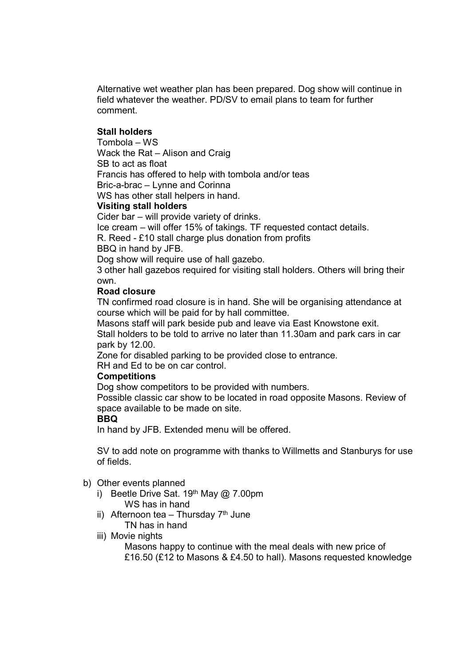Alternative wet weather plan has been prepared. Dog show will continue in field whatever the weather. PD/SV to email plans to team for further comment.

### Stall holders

Tombola – WS Wack the Rat – Alison and Craig SB to act as float Francis has offered to help with tombola and/or teas Bric-a-brac – Lynne and Corinna

WS has other stall helpers in hand.

## Visiting stall holders

Cider bar – will provide variety of drinks. Ice cream – will offer 15% of takings. TF requested contact details.

R. Reed - £10 stall charge plus donation from profits

BBQ in hand by JFB.

Dog show will require use of hall gazebo.

3 other hall gazebos required for visiting stall holders. Others will bring their own.

#### Road closure

TN confirmed road closure is in hand. She will be organising attendance at course which will be paid for by hall committee.

Masons staff will park beside pub and leave via East Knowstone exit.

Stall holders to be told to arrive no later than 11.30am and park cars in car park by 12.00.

Zone for disabled parking to be provided close to entrance.

RH and Ed to be on car control.

### **Competitions**

Dog show competitors to be provided with numbers.

Possible classic car show to be located in road opposite Masons. Review of space available to be made on site.

#### BBQ

In hand by JFB. Extended menu will be offered.

SV to add note on programme with thanks to Willmetts and Stanburys for use of fields.

#### b) Other events planned

- i) Beetle Drive Sat.  $19<sup>th</sup>$  May  $@$  7.00pm WS has in hand
- ii) Afternoon tea Thursday  $7<sup>th</sup>$  June TN has in hand
- iii) Movie nights
	- Masons happy to continue with the meal deals with new price of

£16.50 (£12 to Masons & £4.50 to hall). Masons requested knowledge